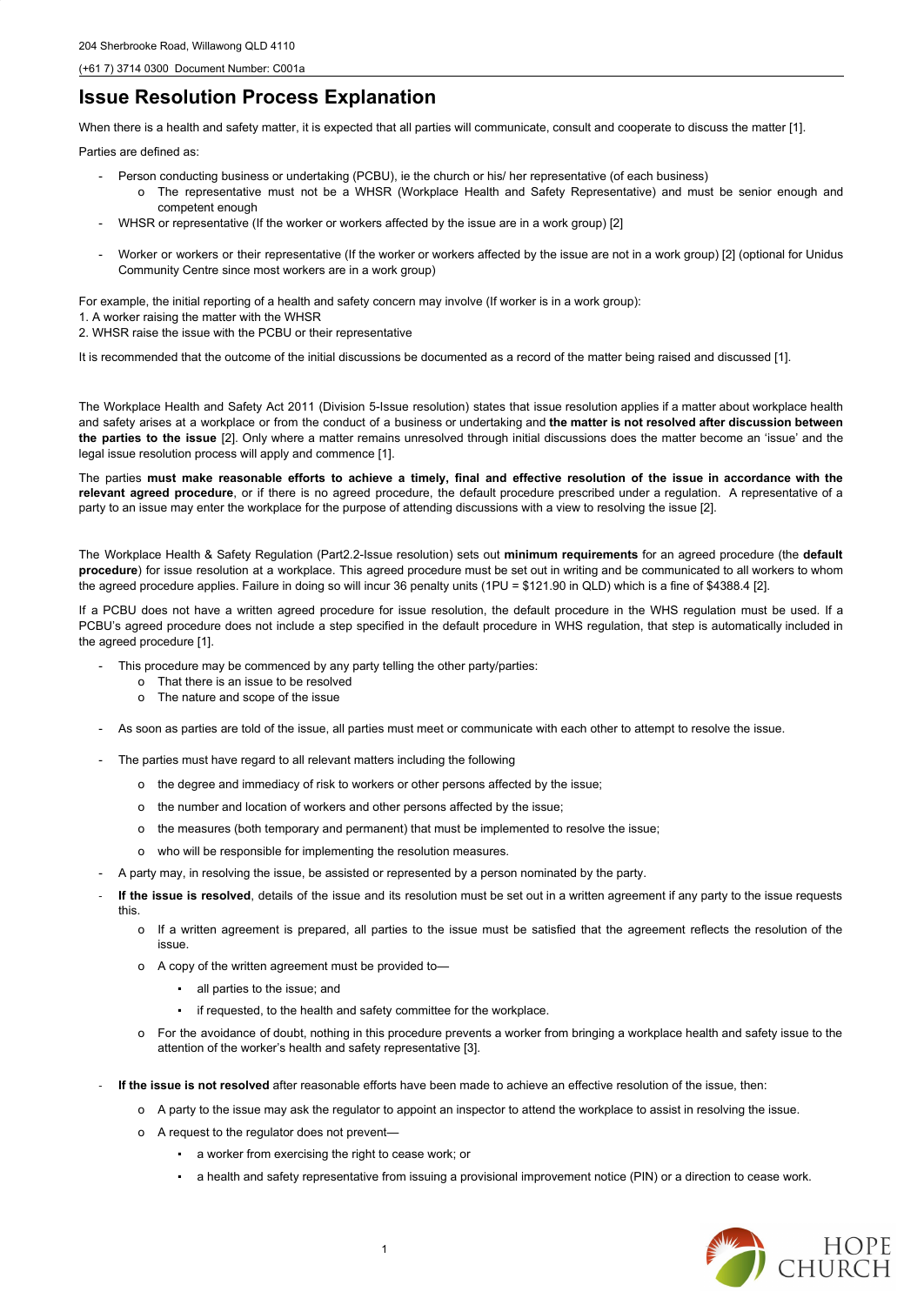(+61 7) 3714 0300 Document Number: C001a

## **Issue Resolution Process Explanation**

When there is a health and safety matter, it is expected that all parties will communicate, consult and cooperate to discuss the matter [1].

Parties are defined as:

- Person conducting business or undertaking (PCBU), ie the church or his/ her representative (of each business)
	- o The representative must not be a WHSR (Workplace Health and Safety Representative) and must be senior enough and competent enough
- WHSR or representative (If the worker or workers affected by the issue are in a work group) [2]
- Worker or workers or their representative (If the worker or workers affected by the issue are not in a work group) [2] (optional for Unidus Community Centre since most workers are in a work group)

For example, the initial reporting of a health and safety concern may involve (If worker is in a work group):

- 1. A worker raising the matter with the WHSR
- 2. WHSR raise the issue with the PCBU or their representative

The parties must make reasonable efforts to achieve a timely, final and effective resolution of the issue in accordance with the **relevant agreed procedure**, or if there is no agreed procedure, the default procedure prescribed under a regulation. A representative of a party to an issue may enter the workplace for the purpose of attending discussions with a view to resolving the issue [2].

It is recommended that the outcome of the initial discussions be documented as a record of the matter being raised and discussed [1].

The Workplace Health and Safety Act 2011 (Division 5-Issue resolution) states that issue resolution applies if a matter about workplace health and safety arises at a workplace or from the conduct of a business or undertaking and **the matter is not resolved after discussion between the parties to the issue** [2]. Only where a matter remains unresolved through initial discussions does the matter become an 'issue' and the legal issue resolution process will apply and commence [1].

- o For the avoidance of doubt, nothing in this procedure prevents a worker from bringing a workplace health and safety issue to the attention of the worker's health and safety representative [3].
- **If the issue is not resolved** after reasonable efforts have been made to achieve an effective resolution of the issue, then:
	- o A party to the issue may ask the regulator to appoint an inspector to attend the workplace to assist in resolving the issue.
	- o A request to the regulator does not prevent—
		- a worker from exercising the right to cease work; or
		- a health and safety representative from issuing a provisional improvement notice (PIN) or a direction to cease work.



The Workplace Health & Safety Regulation (Part2.2-Issue resolution) sets out **minimum requirements** for an agreed procedure (the **default procedure**) for issue resolution at a workplace. This agreed procedure must be set out in writing and be communicated to all workers to whom the agreed procedure applies. Failure in doing so will incur 36 penalty units (1PU = \$121.90 in QLD) which is a fine of \$4388.4 [2].

If a PCBU does not have a written agreed procedure for issue resolution, the default procedure in the WHS regulation must be used. If a PCBU's agreed procedure does not include a step specified in the default procedure in WHS regulation, that step is automatically included in the agreed procedure [1].

- This procedure may be commenced by any party telling the other party/parties:
	- o That there is an issue to be resolved
	- o The nature and scope of the issue
- As soon as parties are told of the issue, all parties must meet or communicate with each other to attempt to resolve the issue.
- The parties must have regard to all relevant matters including the following
	- o the degree and immediacy of risk to workers or other persons affected by the issue;
	- o the number and location of workers and other persons affected by the issue;
	- o the measures (both temporary and permanent) that must be implemented to resolve the issue;
	- o who will be responsible for implementing the resolution measures.
- A party may, in resolving the issue, be assisted or represented by a person nominated by the party.
- If the issue is resolved, details of the issue and its resolution must be set out in a written agreement if any party to the issue requests this.
	- o If a written agreement is prepared, all parties to the issue must be satisfied that the agreement reflects the resolution of the issue.
	- o A copy of the written agreement must be provided to—
	- - all parties to the issue; and
		- if requested, to the health and safety committee for the workplace.

1